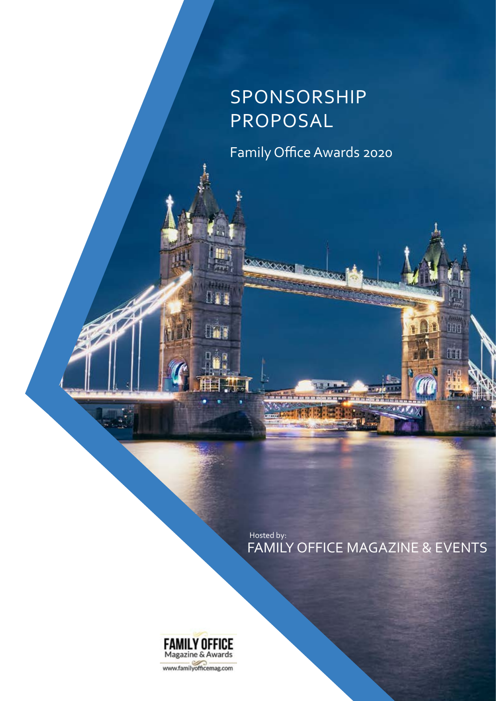# Sponsorship Proposal

Family Office Awards 2020

FAMILY OFFICE MAGAZINE & EVENTS Hosted by:

ŧ

989

ti

ū. su i  $\overline{1}$ 



**DAY** 

**Fine** 

www.familyofficemag.com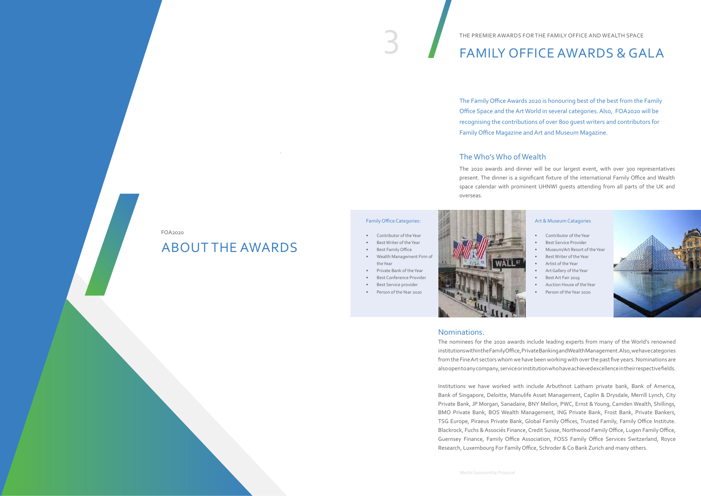# THE PREMIER AWARDS FOR THE FAMILY OFFICE AND WEALTH SPACE

THE PREMIER AWARDS FOR THE FAMILY OFFICE AND WEALTH SPACE

#### The Who's Who of Wealth

#### Nominations.

The nominees for the 2020 awards include leading experts from many of the World's renowned institutions within the Family Office, Private Banking and Wealth Management. Also, we have categories from the Fine Art sectors whom we have been working with over the past five years. Nominations are also open to any company, service or institution who have achieved excellence in their respective fields.

Institutions we have worked with include Arbuthnot Latham private bank, Bank of America, Bank of Singapore, Deloitte, Manulife Asset Management, Caplin & Drysdale, Merrill Lynch, City Private Bank, JP Morgan, Sanadaire, BNY Mellon, PWC, Ernst & Young, Camden Wealth, Shillings, BMO Private Bank, BOS Wealth Management, ING Private Bank, Frost Bank, Private Bankers, TSG Europe, Piraeus Private Bank, Global Family Offices, Trusted Family, Family Office Institute. Blackrock, Fuchs & Associés Finance, Credit Suisse, Northwood Family Office, Lugen Family Office, Guernsey Finance, Family Office Association, FOSS Family Office Services Switzerland, Royce Research, Luxembourg For Family Office, Schroder & Co Bank Zurich and many others.

The 2020 awards and dinner will be our largest event, with over 300 representatives present. The dinner is a significant fixture of the international Family Office and Wealth space calendar with prominent UHNWI guests attending from all parts of the UK and

overseas.

The Family Office Awards 2020 is honouring best of the best from the Family Office Space and the Art World in several categories. Also, FOA2020 will be recognising the contributions of over 800 guest writers and contributors for Family Office Magazine and Art and Museum Magazine.

#### Family Office Categories:

- Contributor of the Year
- Best Writer of the Year
- Best Family Office
- Wealth Management Firm of the Year
- Private Bank of the Year
- Best Conference Provider
- Best Service provider
- Person of the Year 2020



#### Art & Museum Catagories

- Contributor of the Year
- Best Service Provider
- Museum/Art Resort of the Year
- Best Writer of the Year
- Artist of the Year
- Art Gallery of the Year
- Best Art Fair 2019
- Auction House of the Year
- Person of the Year 2020



## ABOUT The Awards

#### FOA2020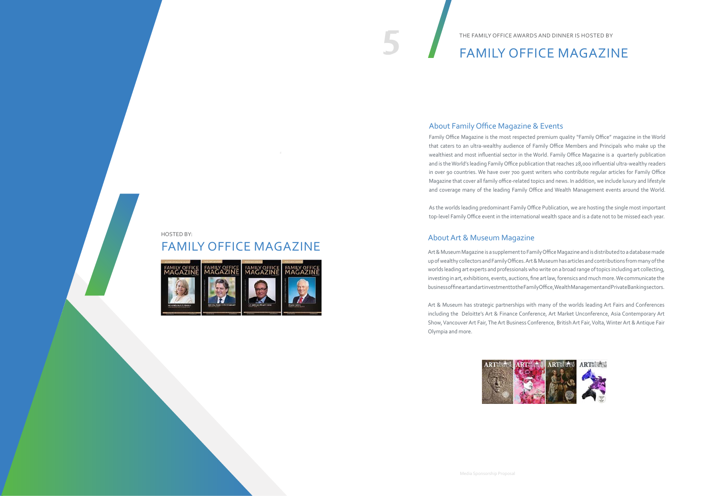5

## FAMILY OFFICE MAGAZINE



HOSTED BY:

Family Office Magazine is the most respected premium quality "Family Office" magazine in the World that caters to an ultra-wealthy audience of Family Office Members and Principals who make up the wealthiest and most influential sector in the World. Family Office Magazine is a quarterly publication and is the World's leading Family Office publication that reaches 28,000 influential ultra-wealthy readers in over 90 countries. We have over 700 guest writers who contribute regular articles for Family Office Magazine that cover all family office-related topics and news. In addition, we include luxury and lifestyle and coverage many of the leading Family Office and Wealth Management events around the World.

As the worlds leading predominant Family Office Publication, we are hosting the single most important top-level Family Office event in the international wealth space and is a date not to be missed each year.

Art & Museum Magazine is a supplement to Family Office Magazine and is distributed to a database made up of wealthy collectors and Family Offices. Art & Museum has articles and contributions from many of the worlds leading art experts and professionals who write on a broad range of topics including art collecting, investing in art, exhibitions, events, auctions, fine art law, forensics and much more. We communicate the business of fine art and art investment to the Family Office, Wealth Management and Private Banking sectors.

Art & Museum has strategic partnerships with many of the worlds leading Art Fairs and Conferences including the Deloitte's Art & Finance Conference, Art Market Unconference, Asia Contemporary Art Show, Vancouver Art Fair, The Art Business Conference, British Art Fair, Volta, Winter Art & Antique Fair Olympia and more.



# 5 Family Office MAGAZINE

tHE fAMILY oFFICE aWARDS AND dINNER IS HOSTED BY

## About Family Office Magazine & Events

## About Art & Museum Magazine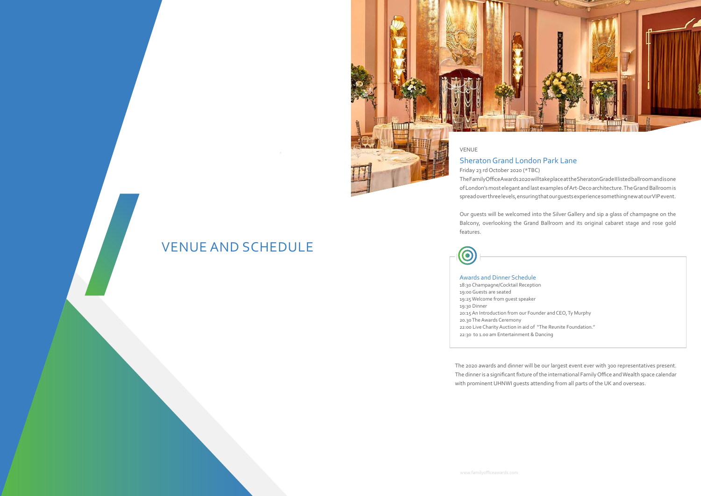## VENUE AND SCHEDULE



Friday 23 rd October 2020 (\*TBC) The Family Office Awards 2020 will take place at the Sheraton Grade II listed ballroom and is one of London's most elegant and last examples of Art-Deco architecture. The Grand Ballroom is spread over three levels, ensuring that our guests experience something new at our VIP event.

Our guests will be welcomed into the Silver Gallery and sip a glass of champagne on the Balcony, overlooking the Grand Ballroom and its original cabaret stage and rose gold

features.



#### Awards and Dinner Schedule

18:30 Champagne/Cocktail Reception 19:00 Guests are seated 19:25 Welcome from guest speaker 19:30 Dinner 20:15 An Introduction from our Founder and CEO, Ty Murphy 20.30 The Awards Ceremony 22:00 Live Charity Auction in aid of "The Reunite Foundation." 22:30 to 1.00 am Entertainment & Dancing

The 2020 awards and dinner will be our largest event ever with 300 representatives present. The dinner is a significant fixture of the international Family Office and Wealth space calendar with prominent UHNWI guests attending from all parts of the UK and overseas.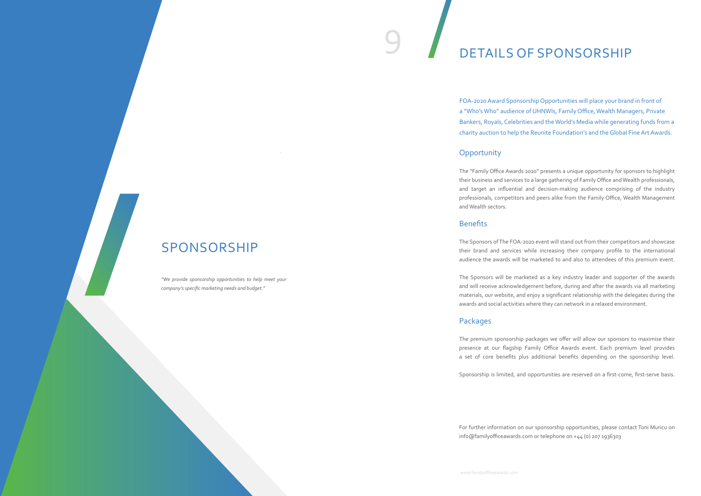# SPONSORSHIP

# 9 DETAILS OF SPONSORSHIP

The "Family Office Awards 2020" presents a unique opportunity for sponsors to highlight their business and services to a large gathering of Family Office and Wealth professionals, and target an influential and decision-making audience comprising of the industry professionals, competitors and peers alike from the Family Office, Wealth Management and Wealth sectors.

#### **Benefits**

The Sponsors of The FOA-2020 event will stand out from their competitors and showcase their brand and services while increasing their company profile to the international audience the awards will be marketed to and also to attendees of this premium event.

The Sponsors will be marketed as a key industry leader and supporter of the awards and will receive acknowledgement before, during and after the awards via all marketing materials, our website, and enjoy a significant relationship with the delegates during the awards and social activities where they can network in a relaxed environment.

## Packages

The premium sponsorship packages we offer will allow our sponsors to maximise their presence at our flagship Family Office Awards event. Each premium level provides a set of core benefits plus additional benefits depending on the sponsorship level.

Sponsorship is limited, and opportunities are reserved on a first-come, first-serve basis.

For further information on our sponsorship opportunities, please contact Toni Muricu on info@familyofficeawards.com or telephone on +44 (0) 207 1936303

FOA-2020 Award Sponsorship Opportunities will place your brand in front of a "Who's Who" audience of UHNWIs, Family Office, Wealth Managers, Private Bankers, Royals, Celebrities and the World's Media while generating funds from a charity auction to help the Reunite Foundation's and the Global Fine Art Awards.

#### **Opportunity**

*"We provide sponsorship opportunities to help meet your company's specific marketing needs and budget."*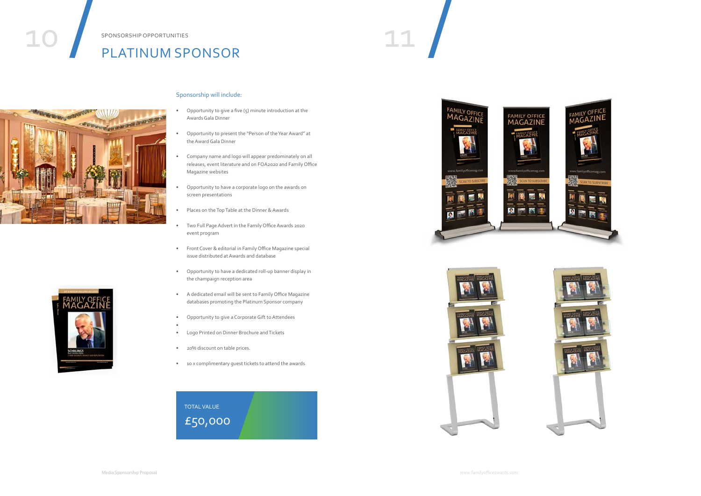# SPONSORSHIP OPPORTUNITIES<br>DI ATINIIIM SPONSOP PLATINUM SPONSOR





#### SPONSORSHIP OPPORTUNITIES







#### Sponsorship will include:

- Opportunity to give a five  $(5)$  minute introduction at the Awards Gala Dinner
- Opportunity to present the "Person of the Year Award" at the Award Gala Dinner
- Company name and logo will appear predominately on all releases, event literature and on FOA2020 and Family Office Magazine websites
- Opportunity to have a corporate logo on the awards on screen presentations
- Places on the Top Table at the Dinner & Awards
- Two Full Page Advert in the Family Office Awards 2020 event program
- Front Cover & editorial in Family Office Magazine special issue distributed at Awards and database
- Opportunity to have a dedicated roll-up banner display in the champaign reception area
- A dedicated email will be sent to Family Office Magazine databases promoting the Platinum Sponsor company
- Opportunity to give a Corporate Gift to Attendees
- Logo Printed on Dinner Brochure and Tickets
- 20% discount on table prices.

•

• 10 x complimentary guest tickets to attend the awards

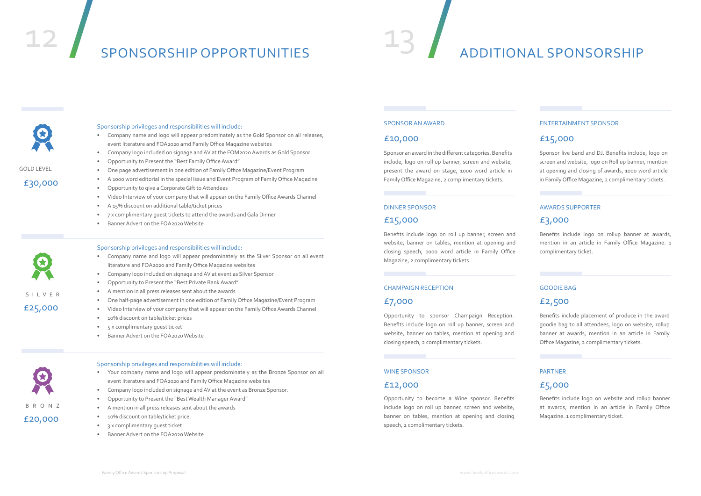# SPONSORSHIP OPPORTUNITIES





GOLD LEVEL

SILVE R

£30,000



£25,000

Sponsorship privileges and responsibilities will include:

- Company name and logo will appear predominately as the Gold Sponsor on all releases, event literature and FOA2020 amd Family Office Magazine websites
- Company logo included on signage and AV at the FOM2020 Awards as Gold Sponsor
- Opportunity to Present the "Best Family Office Award"
- One page advertisement in one edition of Family Office Magazine/Event Program
- A 1000 word editorial in the special Issue and Event Program of Family Office Magazine
- Opportunity to give a Corporate Gift to Attendees
- Video Interview of your company that will appear on the Family Office Awards Channel
- A 15% discount on additional table/ticket prices
- 7 x complimentary guest tickets to attend the awards and Gala Dinner
- Banner Advert on the FOA2020 Website

#### Sponsorship privileges and responsibilities will include:

- Company name and logo will appear predominately as the Silver Sponsor on all event literature and FOA2020 and Family Office Magazine websites
- Company logo included on signage and AV at event as Silver Sponsor
- Opportunity to Present the "Best Private Bank Award"
- A mention in all press releases sent about the awards
- One half-page advertisement in one edition of Family Office Magazine/Event Program
- Video Interview of your company that will appear on the Family Office Awards Channel
- 10% discount on table/ticket prices
- 5 x complimentary guest ticket
- Banner Advert on the FOA2020 Website

#### Sponsorship privileges and responsibilities will include:

- Your company name and logo will appear predominately as the Bronze Sponsor on all event literature and FOA2020 and Family Office Magazine websites
- Company logo included on signage and AV at the event as Bronze Sponsor.
- Opportunity to Present the "Best Wealth Manager Award"
- A mention in all press releases sent about the awards
- 10% discount on table/ticket price.
- 3 x complimentary quest ticket
- Banner Advert on the FOA2020 Website

Sponsor an award in the different categories. Benefits include, logo on roll up banner, screen and website, present the award on stage, 1000 word article in Family Office Magazine, 2 complimentary tickets.

Benefits include logo on roll up banner, screen and website, banner on tables, mention at opening and closing speech, 1000 word article in Family Office Magazine, 2 complimentary tickets.

Opportunity to sponsor Champaign Reception. Benefits include logo on roll up banner, screen and website, banner on tables, mention at opening and closing speech, 2 complimentary tickets.

Opportunity to become a Wine sponsor. Benefits include logo on roll up banner, screen and website, banner on tables, mention at opening and closing speech, 2 complimentary tickets.

#### SPONSOR AN AWARD

#### DINNER SPONSOR

#### CHAMPAIGN RECEPTION

#### WINE SPONSOR

#### £10,000

#### £15,000

## £7,000

#### £12,000

# ADDITIONAL SPONSORSHIP

Sponsor live band and DJ. Benefits include, logo on screen and website, logo on Roll up banner, mention at opening and closing of awards, 1000 word article in Family Office Magazine, 2 complimentary tickets.

Benefits include logo on rollup banner at awards, mention in an article in Family Office Magazine. 1 complimentary ticket.

Benefits include placement of produce in the award goodie bag to all attendees, logo on website, rollup banner at awards, mention in an article in Family Office Magazine, 2 complimentary tickets.

Benefits include logo on website and rollup banner at awards, mention in an article in Family Office Magazine. 1 complimentary ticket.

#### ENTERTAINMENT SPONSOR

#### GOODIE BAG

## AWARDS SUPPORTER £3,000

#### PARTNER

## £15,000

## £2,500

## £5,000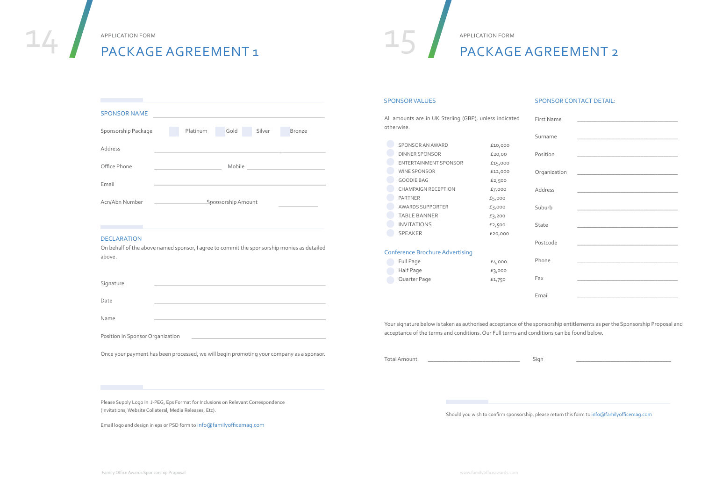| <b>SPONSOR NAME</b> |                                                                           |          |        |        |               |
|---------------------|---------------------------------------------------------------------------|----------|--------|--------|---------------|
| Sponsorship Package |                                                                           | Platinum | Gold   | Silver | <b>Bronze</b> |
| <b>Address</b>      |                                                                           |          |        |        |               |
| Office Phone        |                                                                           |          | Mobile |        |               |
| Email               |                                                                           |          |        |        |               |
| Acn/Abn Number      | <b>Sponsorship Amount</b><br>the control of the control of the control of |          |        |        |               |
|                     |                                                                           |          |        |        |               |

#### DECLARATION

On behalf of the above named sponsor, I agree to commit the sponsorship monies as detailed above.

| ╮ | ignature |  |  |  |
|---|----------|--|--|--|

Date

Name

Position In Sponsor Organization

Once your payment has been processed, we will begin promoting your company as a sponsor.

Please Supply Logo In J-PEG, Eps Format for Inclusions on Relevant Correspondence

(Invitations, Website Collateral, Media Releases, Etc).

Email logo and design in eps or PSD form to info@familyofficemag.com

APPLICATION FORM<br>PACKAGE AGREEMENT 1

#### APPLICATION FORM

# PACKAGE AGREEMENT 1

| <b>First Name</b> |                                                                                                                        |  |
|-------------------|------------------------------------------------------------------------------------------------------------------------|--|
| Surname           | the control of the control of the control of the control of the control of the control of                              |  |
| Position          | the control of the control of the control of the control of the control of the control of                              |  |
| Organization      | the control of the control of the control of the control of the control of the control of                              |  |
| Address           | the control of the control of the control of the control of the control of the control of                              |  |
| Suburb            |                                                                                                                        |  |
| State             | <u> 1989 - Andrea Station, amerikansk politiker (d. 1989)</u>                                                          |  |
| Postcode          | <u> 1989 - An Dùbhlachd an Dùbhlachd ann an Dùbhlachd ann an Dùbhlachd ann an Dùbhlachd ann an Dùbhlachd ann an Dù</u> |  |
| Phone             |                                                                                                                        |  |
| Fax               |                                                                                                                        |  |
| Email             |                                                                                                                        |  |

Should you wish to confirm sponsorship, please return this form to info@familyofficemag.com

Your signature below is taken as authorised acceptance of the sponsorship entitlements as per the Sponsorship Proposal and acceptance of the terms and conditions. Our Full terms and conditions can be found below.

Total Amount \_\_\_\_\_\_\_\_\_\_\_\_\_\_\_\_\_\_\_\_\_\_\_\_\_\_\_\_\_\_\_\_ Sign \_\_\_\_\_\_\_\_\_\_\_\_\_\_\_\_\_\_\_\_\_\_\_\_\_\_\_\_\_\_\_\_\_

## PACKAGE AGREEMENT 2

APPLICATION FORM

#### SPONSOR VALUES SPONSOR CONTACT DETAIL:

All amounts are in UK Sterling (GBP), unless indicated otherwise.

| SPONSOR AN AWARD        | £10,000 |
|-------------------------|---------|
| <b>DINNER SPONSOR</b>   | £20,00  |
| ENTERTAINMENT SPONSOR   | £15,000 |
| <b>WINE SPONSOR</b>     | £12,000 |
| <b>GOODIE BAG</b>       | £2,500  |
| CHAMPAIGN RECEPTION     | £7,000  |
| <b>PARTNER</b>          | £5,000  |
| <b>AWARDS SUPPORTER</b> | £3,000  |
| <b>TABLE BANNER</b>     | £3,200  |
| <b>INVITATIONS</b>      | £2,500  |
| <b>SPEAKER</b>          | £20,000 |

#### Conference Brochure Advertising

| Full Page    | £4,000 |
|--------------|--------|
| Half Page    | £3,000 |
| Quarter Page | £1,750 |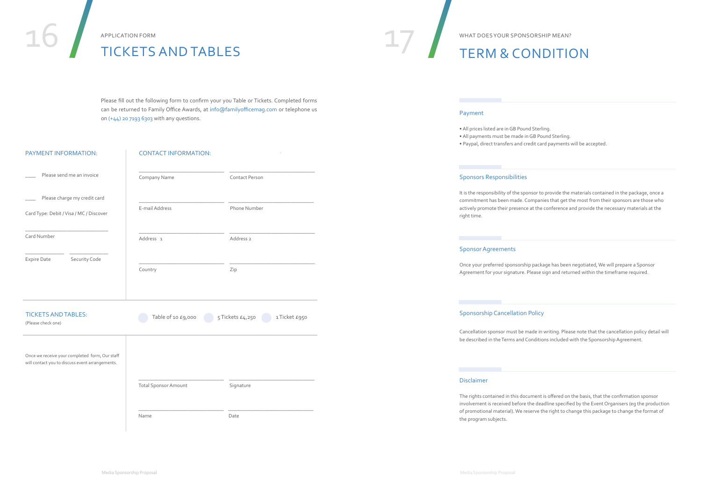| PAYMENT INFORMATION:                                                                              | <b>CONTACT INFORMATION:</b> |                                  |
|---------------------------------------------------------------------------------------------------|-----------------------------|----------------------------------|
| Please send me an invoice                                                                         | Company Name                | Contact Person                   |
| Please charge my credit card<br>Card Type: Debit / Visa / MC / Discover                           | E-mail Address              | Phone Number                     |
| Card Number                                                                                       | Address 1                   | Address <sub>2</sub>             |
| Security Code<br>Expire Date                                                                      | Country                     | Zip                              |
| <b>TICKETS AND TABLES:</b><br>(Please check one)                                                  | Table of 10 £9,000          | 5 Tickets £4,250<br>1Ticket £950 |
| Once we receive your completed form, Our staff<br>will contact you to discuss event arrangements. |                             |                                  |
|                                                                                                   | <b>Total Sponsor Amount</b> | Signature                        |

Please fill out the following form to confirm your you Table or Tickets. Completed forms can be returned to Family Office Awards, at info@familyofficemag.com or telephone us on (+44) 20 7193 6303 with any questions.

| <b>PAYMENT INFORMATION</b> |
|----------------------------|

# TICKETS AND TABLES TICKETS AND TABLES

\_\_\_\_\_\_\_\_\_\_\_\_\_\_\_\_\_\_\_\_\_\_\_\_\_\_\_\_\_\_\_\_\_ \_\_\_\_\_\_\_\_\_\_\_\_\_\_\_\_\_\_\_\_\_\_\_\_\_\_\_\_\_\_\_\_\_

Name Date

APPLICATION FORM

# TERM & CONDITION

What doesyour sponsorship mean?

#### Payment

- All prices listed are in GB Pound Sterling.
- All payments must be made in GB Pound Sterling.
- Paypal, direct transfers and credit card payments will be accepted.

#### Sponsors Responsibilities

It is the responsibility of the sponsor to provide the materials contained in the package, once a commitment has been made. Companies that get the most from their sponsors are those who actively promote their presence at the conference and provide the necessary materials at the

right time.

Once your preferred sponsorship package has been negotiated, We will prepare a Sponsor Agreement for your signature. Please sign and returned within the timeframe required.

#### Sponsorship Cancellation Policy

Cancellation sponsor must be made in writing. Please note that the cancellation policy detail will be described in the Terms and Conditions included with the Sponsorship Agreement.

#### Disclaimer

The rights contained in this document is offered on the basis, that the confirmation sponsor involvement is received before the deadline specified by the Event Organisers (eg the production of promotional material). We reserve the right to change this package to change the format of the program subjects.

Media Sponsorship Proposal Media Sponsorship Proposal